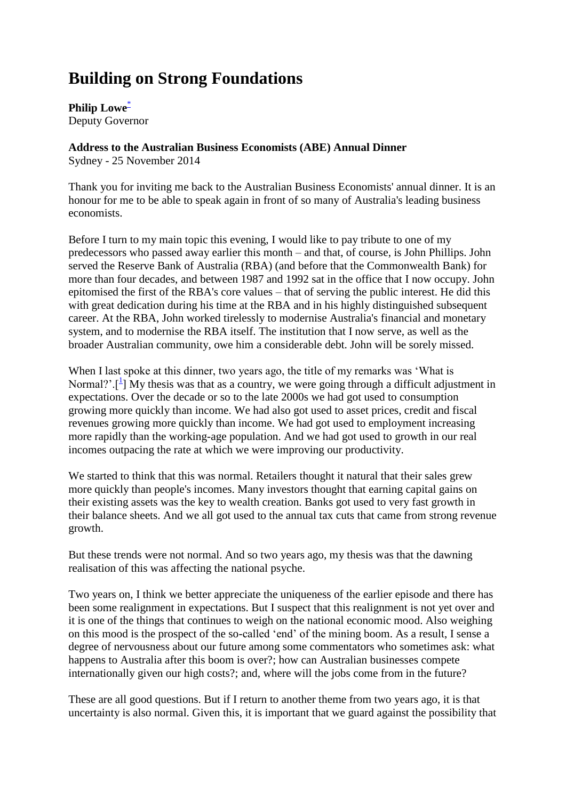# **Building on Strong Foundations**

**Philip Low[e](http://www.rba.gov.au/speeches/2014/sp-dg-251114.html#f)**\* Deputy Governor

**Address to the Australian Business Economists (ABE) Annual Dinner**

Sydney - 25 November 2014

Thank you for inviting me back to the Australian Business Economists' annual dinner. It is an honour for me to be able to speak again in front of so many of Australia's leading business economists.

Before I turn to my main topic this evening, I would like to pay tribute to one of my predecessors who passed away earlier this month – and that, of course, is John Phillips. John served the Reserve Bank of Australia (RBA) (and before that the Commonwealth Bank) for more than four decades, and between 1987 and 1992 sat in the office that I now occupy. John epitomised the first of the RBA's core values – that of serving the public interest. He did this with great dedication during his time at the RBA and in his highly distinguished subsequent career. At the RBA, John worked tirelessly to modernise Australia's financial and monetary system, and to modernise the RBA itself. The institution that I now serve, as well as the broader Australian community, owe him a considerable debt. John will be sorely missed.

When I last spoke at this dinner, two years ago, the title of my remarks was 'What is Normal?'.<sup>[[1](http://www.rba.gov.au/speeches/2014/sp-dg-251114.html#f1)</sup>] My thesis was that as a country, we were going through a difficult adjustment in expectations. Over the decade or so to the late 2000s we had got used to consumption growing more quickly than income. We had also got used to asset prices, credit and fiscal revenues growing more quickly than income. We had got used to employment increasing more rapidly than the working-age population. And we had got used to growth in our real incomes outpacing the rate at which we were improving our productivity.

We started to think that this was normal. Retailers thought it natural that their sales grew more quickly than people's incomes. Many investors thought that earning capital gains on their existing assets was the key to wealth creation. Banks got used to very fast growth in their balance sheets. And we all got used to the annual tax cuts that came from strong revenue growth.

But these trends were not normal. And so two years ago, my thesis was that the dawning realisation of this was affecting the national psyche.

Two years on, I think we better appreciate the uniqueness of the earlier episode and there has been some realignment in expectations. But I suspect that this realignment is not yet over and it is one of the things that continues to weigh on the national economic mood. Also weighing on this mood is the prospect of the so-called 'end' of the mining boom. As a result, I sense a degree of nervousness about our future among some commentators who sometimes ask: what happens to Australia after this boom is over?; how can Australian businesses compete internationally given our high costs?; and, where will the jobs come from in the future?

These are all good questions. But if I return to another theme from two years ago, it is that uncertainty is also normal. Given this, it is important that we guard against the possibility that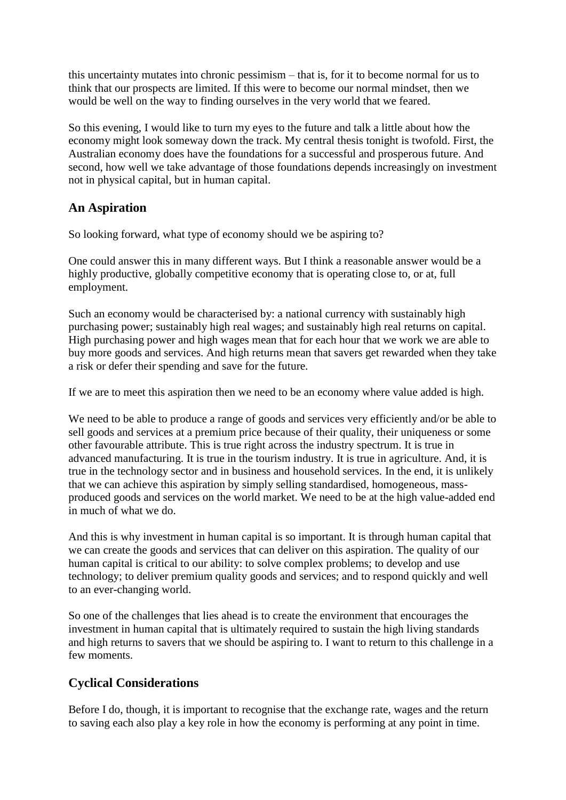this uncertainty mutates into chronic pessimism – that is, for it to become normal for us to think that our prospects are limited. If this were to become our normal mindset, then we would be well on the way to finding ourselves in the very world that we feared.

So this evening, I would like to turn my eyes to the future and talk a little about how the economy might look someway down the track. My central thesis tonight is twofold. First, the Australian economy does have the foundations for a successful and prosperous future. And second, how well we take advantage of those foundations depends increasingly on investment not in physical capital, but in human capital.

# **An Aspiration**

So looking forward, what type of economy should we be aspiring to?

One could answer this in many different ways. But I think a reasonable answer would be a highly productive, globally competitive economy that is operating close to, or at, full employment.

Such an economy would be characterised by: a national currency with sustainably high purchasing power; sustainably high real wages; and sustainably high real returns on capital. High purchasing power and high wages mean that for each hour that we work we are able to buy more goods and services. And high returns mean that savers get rewarded when they take a risk or defer their spending and save for the future.

If we are to meet this aspiration then we need to be an economy where value added is high.

We need to be able to produce a range of goods and services very efficiently and/or be able to sell goods and services at a premium price because of their quality, their uniqueness or some other favourable attribute. This is true right across the industry spectrum. It is true in advanced manufacturing. It is true in the tourism industry. It is true in agriculture. And, it is true in the technology sector and in business and household services. In the end, it is unlikely that we can achieve this aspiration by simply selling standardised, homogeneous, massproduced goods and services on the world market. We need to be at the high value-added end in much of what we do.

And this is why investment in human capital is so important. It is through human capital that we can create the goods and services that can deliver on this aspiration. The quality of our human capital is critical to our ability: to solve complex problems; to develop and use technology; to deliver premium quality goods and services; and to respond quickly and well to an ever-changing world.

So one of the challenges that lies ahead is to create the environment that encourages the investment in human capital that is ultimately required to sustain the high living standards and high returns to savers that we should be aspiring to. I want to return to this challenge in a few moments.

# **Cyclical Considerations**

Before I do, though, it is important to recognise that the exchange rate, wages and the return to saving each also play a key role in how the economy is performing at any point in time.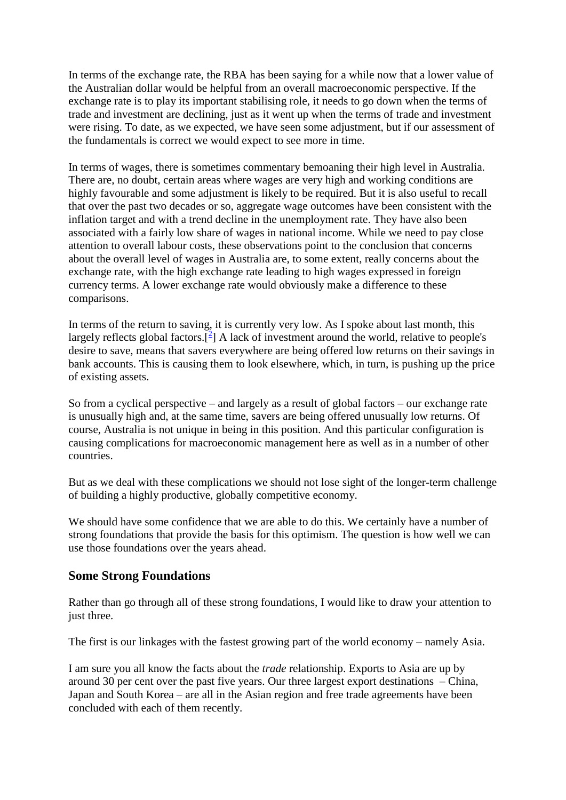In terms of the exchange rate, the RBA has been saying for a while now that a lower value of the Australian dollar would be helpful from an overall macroeconomic perspective. If the exchange rate is to play its important stabilising role, it needs to go down when the terms of trade and investment are declining, just as it went up when the terms of trade and investment were rising. To date, as we expected, we have seen some adjustment, but if our assessment of the fundamentals is correct we would expect to see more in time.

In terms of wages, there is sometimes commentary bemoaning their high level in Australia. There are, no doubt, certain areas where wages are very high and working conditions are highly favourable and some adjustment is likely to be required. But it is also useful to recall that over the past two decades or so, aggregate wage outcomes have been consistent with the inflation target and with a trend decline in the unemployment rate. They have also been associated with a fairly low share of wages in national income. While we need to pay close attention to overall labour costs, these observations point to the conclusion that concerns about the overall level of wages in Australia are, to some extent, really concerns about the exchange rate, with the high exchange rate leading to high wages expressed in foreign currency terms. A lower exchange rate would obviously make a difference to these comparisons.

In terms of the return to saving, it is currently very low. As I spoke about last month, this largely reflects global factors. $\left[\frac{2}{3}\right]$  $\left[\frac{2}{3}\right]$  A lack of investment around the world, relative to people's desire to save, means that savers everywhere are being offered low returns on their savings in bank accounts. This is causing them to look elsewhere, which, in turn, is pushing up the price of existing assets.

So from a cyclical perspective – and largely as a result of global factors – our exchange rate is unusually high and, at the same time, savers are being offered unusually low returns. Of course, Australia is not unique in being in this position. And this particular configuration is causing complications for macroeconomic management here as well as in a number of other countries.

But as we deal with these complications we should not lose sight of the longer-term challenge of building a highly productive, globally competitive economy.

We should have some confidence that we are able to do this. We certainly have a number of strong foundations that provide the basis for this optimism. The question is how well we can use those foundations over the years ahead.

# **Some Strong Foundations**

Rather than go through all of these strong foundations, I would like to draw your attention to just three.

The first is our linkages with the fastest growing part of the world economy – namely Asia.

I am sure you all know the facts about the *trade* relationship. Exports to Asia are up by around 30 per cent over the past five years. Our three largest export destinations – China, Japan and South Korea – are all in the Asian region and free trade agreements have been concluded with each of them recently.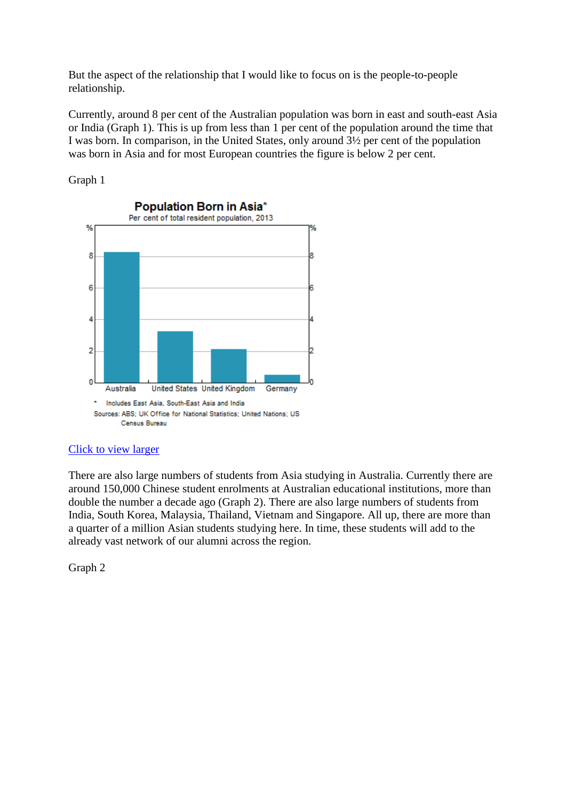But the aspect of the relationship that I would like to focus on is the people-to-people relationship.

Currently, around 8 per cent of the Australian population was born in east and south-east Asia or India (Graph 1). This is up from less than 1 per cent of the population around the time that I was born. In comparison, in the United States, only around 3½ per cent of the population was born in Asia and for most European countries the figure is below 2 per cent.

Graph 1



# [Click to view larger](http://www.rba.gov.au/speeches/2014/images/sp-dg-251114-graph1.gif)

There are also large numbers of students from Asia studying in Australia. Currently there are around 150,000 Chinese student enrolments at Australian educational institutions, more than double the number a decade ago (Graph 2). There are also large numbers of students from India, South Korea, Malaysia, Thailand, Vietnam and Singapore. All up, there are more than a quarter of a million Asian students studying here. In time, these students will add to the already vast network of our alumni across the region.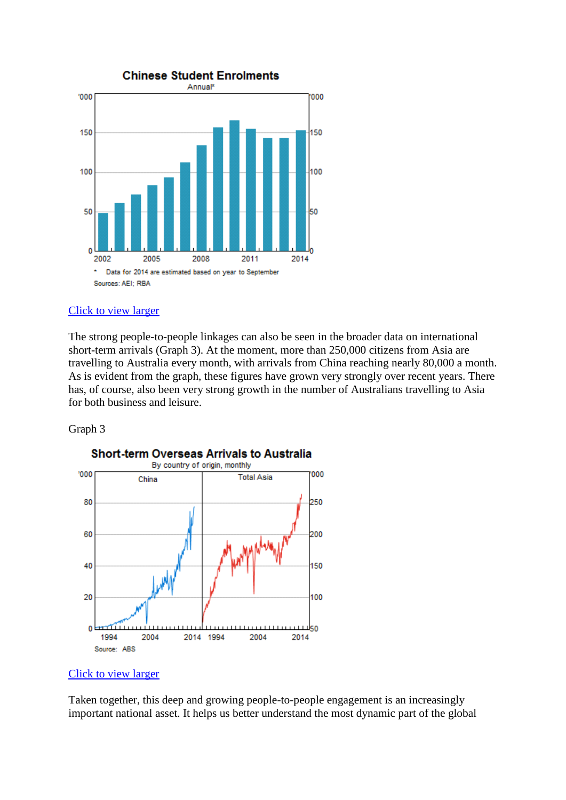

The strong people-to-people linkages can also be seen in the broader data on international short-term arrivals (Graph 3). At the moment, more than 250,000 citizens from Asia are travelling to Australia every month, with arrivals from China reaching nearly 80,000 a month. As is evident from the graph, these figures have grown very strongly over recent years. There has, of course, also been very strong growth in the number of Australians travelling to Asia for both business and leisure.

#### Graph 3



# **Short-term Overseas Arrivals to Australia**

# [Click to view larger](http://www.rba.gov.au/speeches/2014/images/sp-dg-251114-graph3.gif)

Taken together, this deep and growing people-to-people engagement is an increasingly important national asset. It helps us better understand the most dynamic part of the global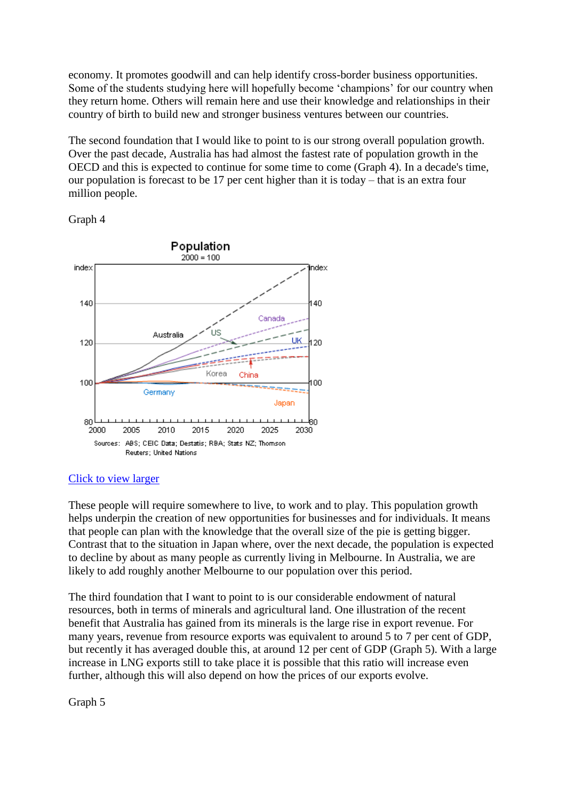economy. It promotes goodwill and can help identify cross-border business opportunities. Some of the students studying here will hopefully become 'champions' for our country when they return home. Others will remain here and use their knowledge and relationships in their country of birth to build new and stronger business ventures between our countries.

The second foundation that I would like to point to is our strong overall population growth. Over the past decade, Australia has had almost the fastest rate of population growth in the OECD and this is expected to continue for some time to come (Graph 4). In a decade's time, our population is forecast to be 17 per cent higher than it is today – that is an extra four million people.

#### Graph 4



#### [Click to view larger](http://www.rba.gov.au/speeches/2014/images/sp-dg-251114-graph4.gif)

These people will require somewhere to live, to work and to play. This population growth helps underpin the creation of new opportunities for businesses and for individuals. It means that people can plan with the knowledge that the overall size of the pie is getting bigger. Contrast that to the situation in Japan where, over the next decade, the population is expected to decline by about as many people as currently living in Melbourne. In Australia, we are likely to add roughly another Melbourne to our population over this period.

The third foundation that I want to point to is our considerable endowment of natural resources, both in terms of minerals and agricultural land. One illustration of the recent benefit that Australia has gained from its minerals is the large rise in export revenue. For many years, revenue from resource exports was equivalent to around 5 to 7 per cent of GDP, but recently it has averaged double this, at around 12 per cent of GDP (Graph 5). With a large increase in LNG exports still to take place it is possible that this ratio will increase even further, although this will also depend on how the prices of our exports evolve.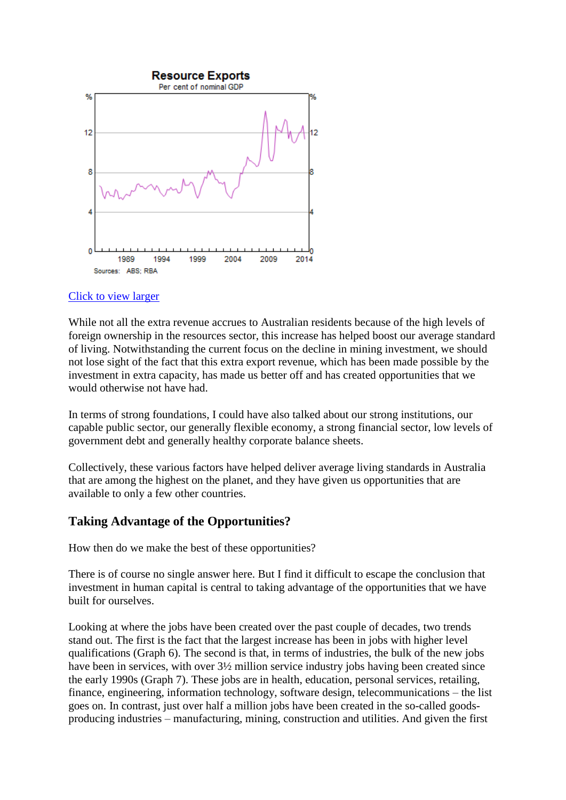

While not all the extra revenue accrues to Australian residents because of the high levels of foreign ownership in the resources sector, this increase has helped boost our average standard of living. Notwithstanding the current focus on the decline in mining investment, we should not lose sight of the fact that this extra export revenue, which has been made possible by the investment in extra capacity, has made us better off and has created opportunities that we would otherwise not have had.

In terms of strong foundations, I could have also talked about our strong institutions, our capable public sector, our generally flexible economy, a strong financial sector, low levels of government debt and generally healthy corporate balance sheets.

Collectively, these various factors have helped deliver average living standards in Australia that are among the highest on the planet, and they have given us opportunities that are available to only a few other countries.

# **Taking Advantage of the Opportunities?**

How then do we make the best of these opportunities?

There is of course no single answer here. But I find it difficult to escape the conclusion that investment in human capital is central to taking advantage of the opportunities that we have built for ourselves.

Looking at where the jobs have been created over the past couple of decades, two trends stand out. The first is the fact that the largest increase has been in jobs with higher level qualifications (Graph  $6$ ). The second is that, in terms of industries, the bulk of the new jobs have been in services, with over  $3\frac{1}{2}$  million service industry jobs having been created since the early 1990s (Graph 7). These jobs are in health, education, personal services, retailing, finance, engineering, information technology, software design, telecommunications – the list goes on. In contrast, just over half a million jobs have been created in the so-called goodsproducing industries – manufacturing, mining, construction and utilities. And given the first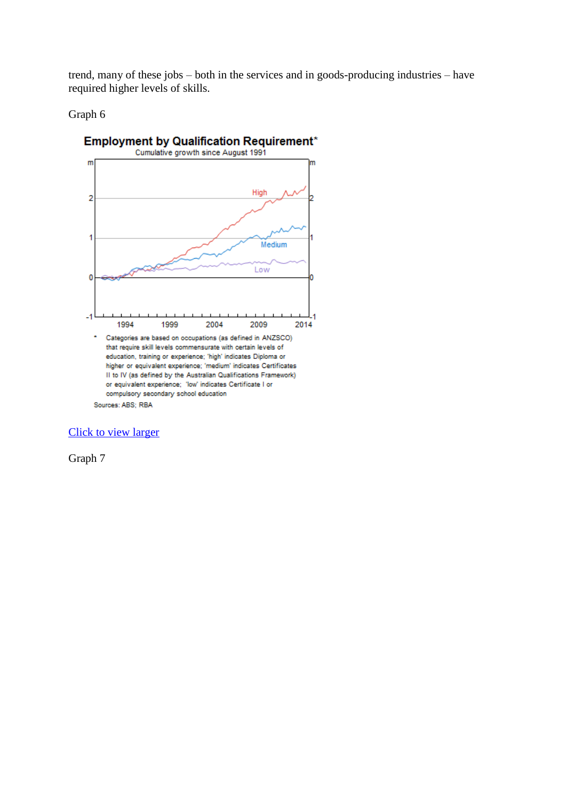trend, many of these jobs – both in the services and in goods-producing industries – have required higher levels of skills.

#### Graph 6



Sources: ABS; RBA

[Click to view larger](http://www.rba.gov.au/speeches/2014/images/sp-dg-251114-graph6.gif)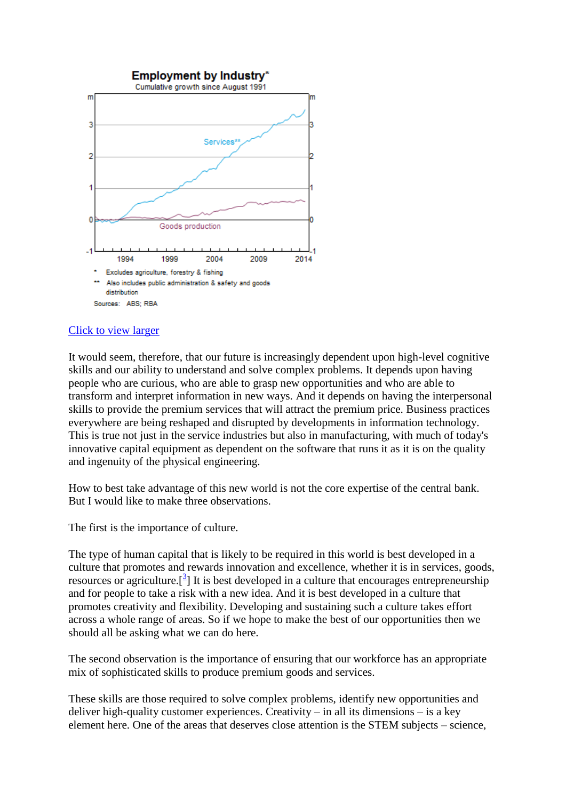

It would seem, therefore, that our future is increasingly dependent upon high-level cognitive skills and our ability to understand and solve complex problems. It depends upon having people who are curious, who are able to grasp new opportunities and who are able to transform and interpret information in new ways. And it depends on having the interpersonal skills to provide the premium services that will attract the premium price. Business practices everywhere are being reshaped and disrupted by developments in information technology. This is true not just in the service industries but also in manufacturing, with much of today's innovative capital equipment as dependent on the software that runs it as it is on the quality and ingenuity of the physical engineering.

How to best take advantage of this new world is not the core expertise of the central bank. But I would like to make three observations.

The first is the importance of culture.

The type of human capital that is likely to be required in this world is best developed in a culture that promotes and rewards innovation and excellence, whether it is in services, goods, resources or agriculture.<sup>[3[\]](http://www.rba.gov.au/speeches/2014/sp-dg-251114.html#f3)</sup> It is best developed in a culture that encourages entrepreneurship and for people to take a risk with a new idea. And it is best developed in a culture that promotes creativity and flexibility. Developing and sustaining such a culture takes effort across a whole range of areas. So if we hope to make the best of our opportunities then we should all be asking what we can do here.

The second observation is the importance of ensuring that our workforce has an appropriate mix of sophisticated skills to produce premium goods and services.

These skills are those required to solve complex problems, identify new opportunities and deliver high-quality customer experiences. Creativity – in all its dimensions – is a key element here. One of the areas that deserves close attention is the STEM subjects – science,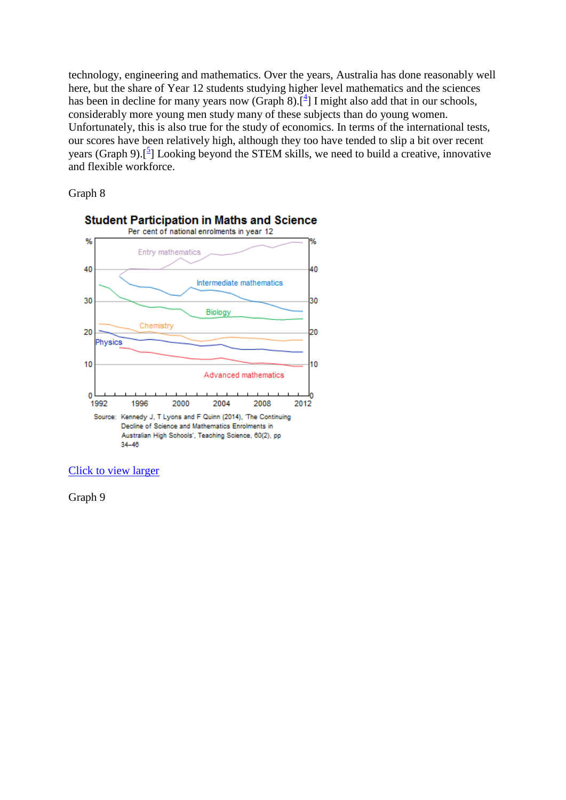technology, engineering and mathematics. Over the years, Australia has done reasonably well here, but the share of Year 12 students studying higher level mathematics and the sciences has been in decline for many years now (Graph 8).<sup>[\[](http://www.rba.gov.au/speeches/2014/sp-dg-251114.html#f4)4]</sup> I might also add that in our schools, considerably more young men study many of these subjects than do young women. Unfortunately, this is also true for the study of economics. In terms of the international tests, our scores have been relatively high, although they too have tended to slip a bit over recent years (Graph 9).<sup>[5</sup>[\]](http://www.rba.gov.au/speeches/2014/sp-dg-251114.html#f5) Looking beyond the STEM skills, we need to build a creative, innovative and flexible workforce.

### Graph 8



[Click to view larger](http://www.rba.gov.au/speeches/2014/images/sp-dg-251114-graph8.gif)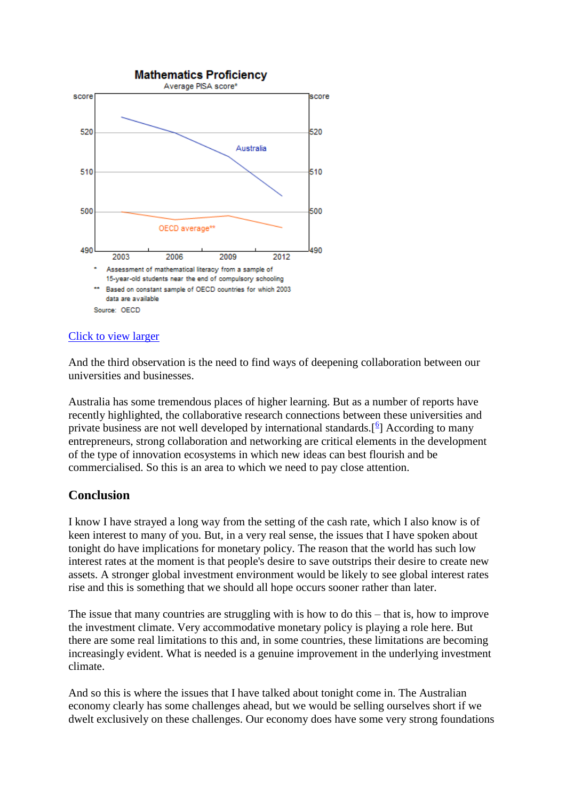

And the third observation is the need to find ways of deepening collaboration between our universities and businesses.

Australia has some tremendous places of higher learning. But as a number of reports have recently highlighted, the collaborative research connections between these universities and private business are not well developed by international standards. $[$ <sup>[6](http://www.rba.gov.au/speeches/2014/sp-dg-251114.html#f6)</sup> $]$  According to many entrepreneurs, strong collaboration and networking are critical elements in the development of the type of innovation ecosystems in which new ideas can best flourish and be commercialised. So this is an area to which we need to pay close attention.

# **Conclusion**

I know I have strayed a long way from the setting of the cash rate, which I also know is of keen interest to many of you. But, in a very real sense, the issues that I have spoken about tonight do have implications for monetary policy. The reason that the world has such low interest rates at the moment is that people's desire to save outstrips their desire to create new assets. A stronger global investment environment would be likely to see global interest rates rise and this is something that we should all hope occurs sooner rather than later.

The issue that many countries are struggling with is how to do this – that is, how to improve the investment climate. Very accommodative monetary policy is playing a role here. But there are some real limitations to this and, in some countries, these limitations are becoming increasingly evident. What is needed is a genuine improvement in the underlying investment climate.

And so this is where the issues that I have talked about tonight come in. The Australian economy clearly has some challenges ahead, but we would be selling ourselves short if we dwelt exclusively on these challenges. Our economy does have some very strong foundations